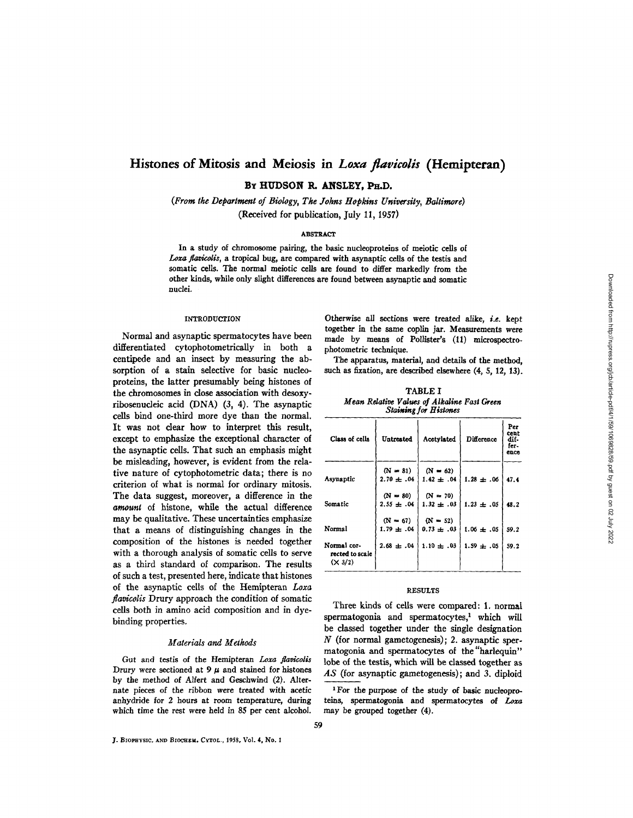# **Histones of Mitosis and Meiosis in** *Loxa flavicolis* **(Hemipteran)**

BY HUDSON R. ANSLEY, PH.D.

*(From the Department of Biology, The Johns Hopkins University, Baltimore)*  (Received for publication, July 11, 1957)

## **ABSTRACT**

In a study of chromosome pairing, the basic nucleoproteins of meiotic ceils of Loxa flavicolis, a tropical bug, are compared with asynaptic cells of the testis and somatic cells. The normal meiotic cells are found to differ markedly from the other kinds, while only slight differences are found between asynaptic and somatic nuclei.

### INTRODUCTION

Normal and asynaptic spermatocytes have been differentiated cytophotometrically in both a centipede and an insect by measuring the absorption of a stain selective for basic nucleoproteins, the latter presumably being histones of the chromosomes in dose association with desoxyribosenudeic acid (DNA) (3, 4). The asynaptic cells bind one-third more dye than the normal. It was not dear how to interpret this result, except to emphasize the exceptional character of the asynaptic cells. That such an emphasis might be misleading, however, is evident from the relative nature of cytophotometric data; there is no criterion of what is normal for ordinary mitosis. The data suggest, moreover, a difference in the *amount* of histone, while the actual difference may be qualitative. These uncertainties emphasize that a means of distinguishing changes in the composition of the histones is needed together with a thorough analysis of somatic cells to serve as a third standard of comparison. The results of such a test, presented here, indicate that histones of the asynaptic ceils of the Hemipteran *Loxa flavicolis* Drury approach the condition of somatic ceils both in amino acid composition and in dyebinding properties.

## *Materials and Methods*

Gut and testis of the Hemipteran *Loxa flavicolis*  Drury were sectioned at 9  $\mu$  and stained for histones by the method of Alfert and Geschwind (2). Alternate pieces of the ribbon were treated with acetic anhydride for 2 hours at room temperature, during which time the rest were held in 85 per cent alcohol.

J. BIOPHYSIC. AND BIOCHEM. CYTOL., 1958, Vol. 4, No. 1

Otherwise all sections were treated alike, *i.e.* kept together in the same coplin jar. Measurements were made by means of Pollister's (ll) microspectrophotometric technique.

The apparatus, material, and details of the method, such as fixation, are described elsewhere (4, 5, 12, 13).

TABLE I *Mean Relative Values of Alkaline Fast Green Staining for Histoms* 

| Class of cells                                        | Untreated                    | Acetylated                      | <b>Difference</b>   | Per<br>cent<br>dif-<br>fer-<br>ence |
|-------------------------------------------------------|------------------------------|---------------------------------|---------------------|-------------------------------------|
| Asynaptic                                             | $(N - 81)$<br>$2.70 \pm .04$ | $(N = 62)$<br>$1.42 \pm .04$    | $1.28 \pm .06$ 47.4 |                                     |
| Somatic                                               | $(N = 80)$<br>$2.55 \pm .04$ | $(N = 70)$<br>$1.32 \pm .03$    | $1.23 \pm .05$      | 48.2                                |
| Normal                                                | $(N = 67)$<br>$1.79 \pm .04$ | $(N = 52)$<br>$0.73 \pm .03$    | $1.06 \pm .05$      | 59.2                                |
| Normal cor-<br>rected to scale<br>(X <sub>3/2</sub> ) |                              | $2.68 \pm .04$   $1.10 \pm .03$ | $1.59 \pm .05$      | 59.2                                |

## RESULTS

Three kinds of cells were compared: 1. normal spermatogonia and spermatocytes,<sup>1</sup> which will be dassed together under the single designation  $N$  (for normal gametogenesis); 2. asynaptic spermatogonia and spermatocytes of the "harlequin" lobe of the testis, which will be classed together as *AS* (for asynaptic gametogenesis); and 3. diploid

For the purpose of the study of basic nucleoproteins, spermatogonia and spermatocytes of Loxa may be grouped together (4).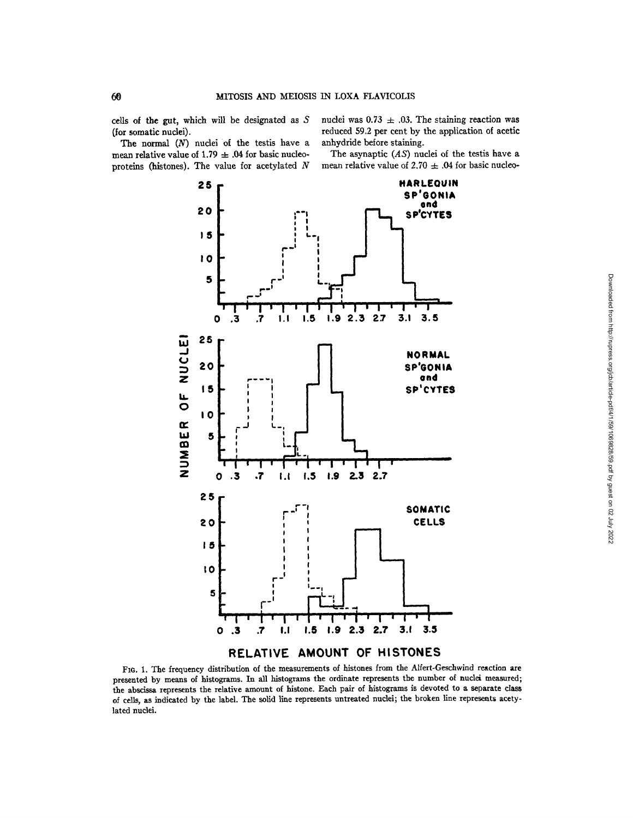cells of the gut, which will be designated as S (for somatic nuclei).

The normal  $(N)$  nuclei of the testis have a mean relative value of 1.79  $\pm$  .04 for basic nucleoproteins (histones). The value for acetylated  $N$  nuclei was  $0.73 \pm .03$ . The staining reaction was reduced 59.2 per cent by the application of acetic anhydride before staining.

The asynaptic  $(AS)$  nuclei of the testis have a mean relative value of 2.70  $\pm$  .04 for basic nucleo-



FIG. 1. The frequency distribution of the measurements of histones from the Alfert-Geschwind reaction are presented by means of histograms. In all histograms the ordinate represents the number of nuclei measured; the abscissa represents the relative amount of histone. Each pair of histograms is devoted to a separate class of cells, as indicated by the label. The solid line represents untreated nuclei; the broken line represents acetylated nuclei.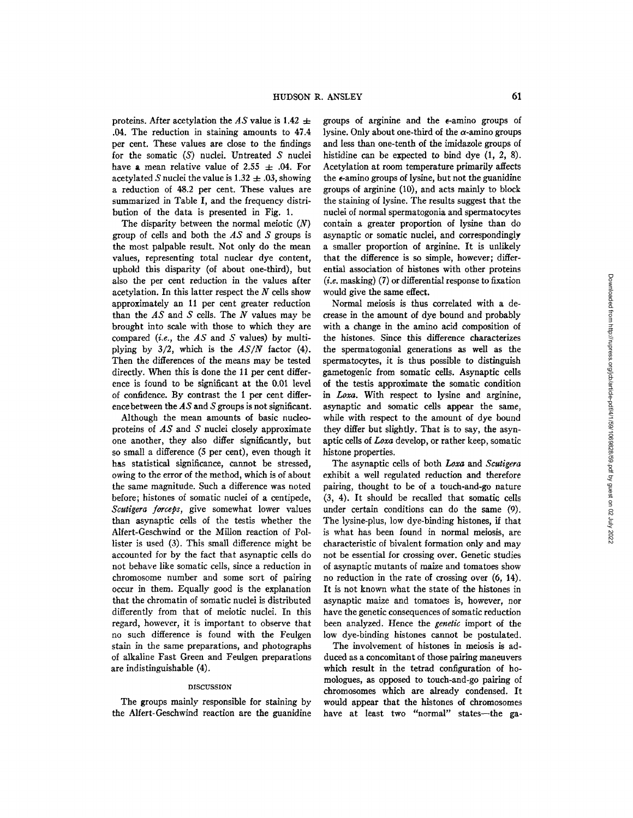proteins. After acetylation the AS value is 1.42  $\pm$ .04. The reduction in staining amounts to 47.4 per cent. These values are close to the findings for the somatic (S) nuclei. Untreated S nuclei have a mean relative value of 2.55  $\pm$  .04. For acetylated S nuclei the value is  $1.32 \pm .03$ , showing a reduction of 48.2 per cent. These values are summarized in Table I, and the frequency distribution of the data is presented in Fig. 1.

The disparity between the normal meiotic  $(N)$ group of cells and both the *AS* and S groups is the most palpable result. Not only do the mean values, representing total nuclear dye content, uphold this disparity (of about one-third), but also the per cent reduction in the values after acetylation. In this latter respect the  $N$  cells show approximately an 11 per cent greater reduction than the *AS* and S cells. The N values may be brought into scale with those to which they are compared *(i.e.,* the *AS* and S values) by multiplying by 3/2, which is the *AS/N* factor (4). Then the differences of the means may be tested directly. When this is done the 11 per cent difference is found to be significant at the 0.01 level of confidence. By contrast the 1 per cent differencebetween the *AS* and S groups is not significant.

Although the mean amounts of basic nudeoproteins of *AS* and S nuclei closely approximate one another, they also differ significantly, but so small a difference (5 per cent), even though it has statistical significance, cannot be stressed, owing to the error of the method, which is of about the same magnitude. Such a difference was noted before; histones of somatic nuclei of a centipede, *Scutigera forceps,* give somewhat lower values than asynaptic cells of the testis whether the Alfert-Geschwind or the Millon reaction of Pollister is used (3). This small difference might be accounted for by the fact that asynaptic cells do not behave like somatic ceils, since a reduction in chromosome number and some sort of pairing occur in them. Equally good is the explanation that the chromatin of somatic nuclei is distributed differently from that of meiotic nuclei. In this regard, however, it is important to observe that no such difference is found with the Feulgen stain in the same preparations, and photographs of alkaline Fast Green and Feulgen preparations are indistinguishable (4).

## DISCUSSION

The groups mainly responsible for staining by the Alfert-Geschwind reaction are the guanidine groups of arginine and the e-amino groups of lysine. Only about one-third of the  $\alpha$ -amino groups and less than one-tenth of the imidazole groups of histidine can be expected to bind dye (1, 2, 8). Acetylation at room temperature primarily affects the  $\epsilon$ -amino groups of lysine, but not the guanidine groups of arginine (10), and acts mainly to block the staining of lysine. The results suggest that the nuclei of normal spermatogonia and spermatocytes contain a greater proportion of lysine than do asynaptic or somatic nuclei, and correspondingly a smaller proportion of arginine. It is unlikely that the difference is so simple, however; differential association of histones with other proteins *(i.e.* masking) (7) or differential response to fixation would give the same effect.

Normal meiosis is thus correlated with a decrease in the amount of dye bound and probably with a change in the amino acid composition of the histones. Since this difference characterizes the spermatogonial generations as well as the spermatocytes, it is thus possible to distinguish gametogenic from somatic cells. Asynaptic cells of the testis approximate the somatic condition *in Loxa.* With respect to lysine and arginine, asynaptic and somatic cells appear the same, while with respect to the amount of dye bound they differ but slightly. That is to say, the asynaptic cells of *Loxa* develop, or rather keep, somatic histone properties.

The asynaptic cells of both *Loxa* and *Scutigera*  exhibit a well regulated reduction and therefore pairing, thought to be of a touch-and-go nature (3, 4). It should be recalled that somatic cells under certain conditions can do the same (9). The lysine-plus, low dye-binding histones, if that is what has been found in normal meiosis, are characteristic of bivalent formation only and may not be essential for crossing over. Genetic studies of asynaptic mutants of maize and tomatoes show no reduction in the rate of crossing over (6, 14). It is not known what the state of the histones in asynaptic maize and tomatoes is, however, nor have the genetic consequences of somatic reduction been analyzed. Hence the *genetic* import of the low dye-binding histones cannot be postulated.

The involvement of histones in meiosis is adduced as a concomitant of those pairing maneuvers which result in the tetrad configuration of homologues, as opposed to touch-and-go pairing of chromosomes which are already condensed. It would appear that the histones of chromosomes have at least two "normal" states--the ga